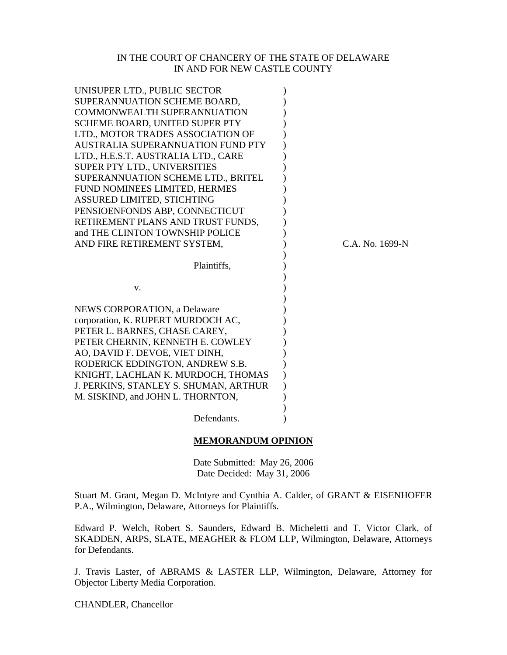## IN THE COURT OF CHANCERY OF THE STATE OF DELAWARE IN AND FOR NEW CASTLE COUNTY

| UNISUPER LTD., PUBLIC SECTOR          |  |                 |
|---------------------------------------|--|-----------------|
| SUPERANNUATION SCHEME BOARD,          |  |                 |
| <b>COMMONWEALTH SUPERANNUATION</b>    |  |                 |
| SCHEME BOARD, UNITED SUPER PTY        |  |                 |
| LTD., MOTOR TRADES ASSOCIATION OF     |  |                 |
| AUSTRALIA SUPERANNUATION FUND PTY     |  |                 |
| LTD., H.E.S.T. AUSTRALIA LTD., CARE   |  |                 |
| SUPER PTY LTD., UNIVERSITIES          |  |                 |
| SUPERANNUATION SCHEME LTD., BRITEL    |  |                 |
| FUND NOMINEES LIMITED, HERMES         |  |                 |
| ASSURED LIMITED, STICHTING            |  |                 |
| PENSIOENFONDS ABP, CONNECTICUT        |  |                 |
| RETIREMENT PLANS AND TRUST FUNDS,     |  |                 |
| and THE CLINTON TOWNSHIP POLICE       |  |                 |
| AND FIRE RETIREMENT SYSTEM,           |  | C.A. No. 1699-N |
|                                       |  |                 |
| Plaintiffs,                           |  |                 |
|                                       |  |                 |
| V.                                    |  |                 |
|                                       |  |                 |
| NEWS CORPORATION, a Delaware          |  |                 |
| corporation, K. RUPERT MURDOCH AC,    |  |                 |
| PETER L. BARNES, CHASE CAREY,         |  |                 |
| PETER CHERNIN, KENNETH E. COWLEY      |  |                 |
| AO, DAVID F. DEVOE, VIET DINH,        |  |                 |
| RODERICK EDDINGTON, ANDREW S.B.       |  |                 |
| KNIGHT, LACHLAN K. MURDOCH, THOMAS    |  |                 |
| J. PERKINS, STANLEY S. SHUMAN, ARTHUR |  |                 |
| M. SISKIND, and JOHN L. THORNTON,     |  |                 |
|                                       |  |                 |
| Defendants.                           |  |                 |
| <b>MEMORANDUM OPINION</b>             |  |                 |

Date Submitted: May 26, 2006

Date Decided: May 31, 2006

Stuart M. Grant, Megan D. McIntyre and Cynthia A. Calder, of GRANT & EISENHOFER P.A., Wilmington, Delaware, Attorneys for Plaintiffs.

Edward P. Welch, Robert S. Saunders, Edward B. Micheletti and T. Victor Clark, of SKADDEN, ARPS, SLATE, MEAGHER & FLOM LLP, Wilmington, Delaware, Attorneys for Defendants.

J. Travis Laster, of ABRAMS & LASTER LLP, Wilmington, Delaware, Attorney for Objector Liberty Media Corporation.

CHANDLER, Chancellor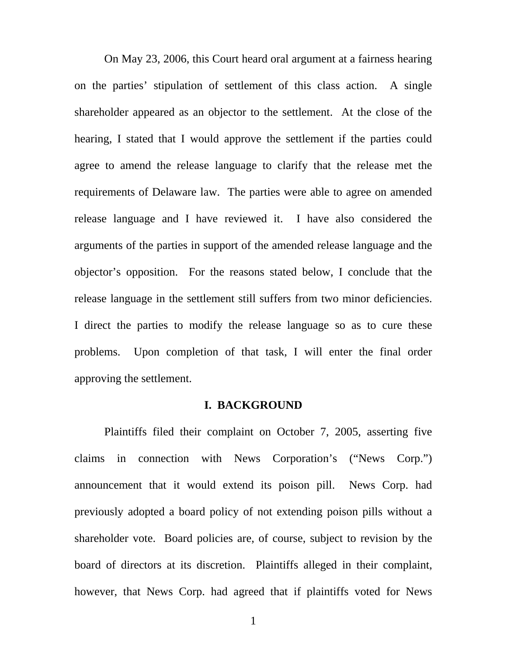On May 23, 2006, this Court heard oral argument at a fairness hearing on the parties' stipulation of settlement of this class action. A single shareholder appeared as an objector to the settlement. At the close of the hearing, I stated that I would approve the settlement if the parties could agree to amend the release language to clarify that the release met the requirements of Delaware law. The parties were able to agree on amended release language and I have reviewed it. I have also considered the arguments of the parties in support of the amended release language and the objector's opposition. For the reasons stated below, I conclude that the release language in the settlement still suffers from two minor deficiencies. I direct the parties to modify the release language so as to cure these problems. Upon completion of that task, I will enter the final order approving the settlement.

## **I. BACKGROUND**

Plaintiffs filed their complaint on October 7, 2005, asserting five claims in connection with News Corporation's ("News Corp.") announcement that it would extend its poison pill. News Corp. had previously adopted a board policy of not extending poison pills without a shareholder vote. Board policies are, of course, subject to revision by the board of directors at its discretion. Plaintiffs alleged in their complaint, however, that News Corp. had agreed that if plaintiffs voted for News

1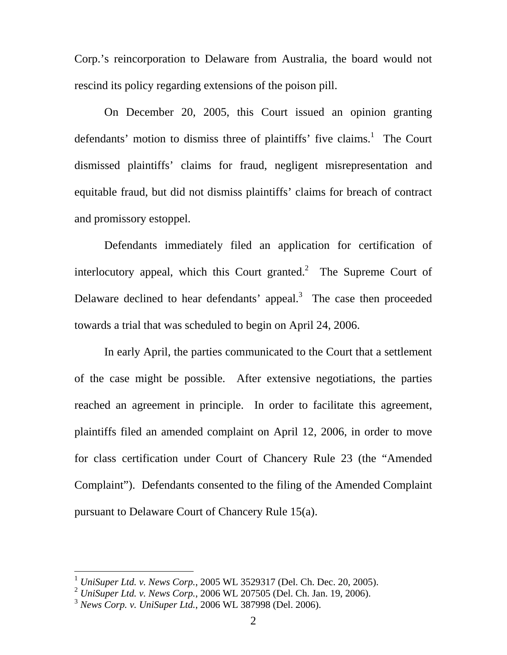Corp.'s reincorporation to Delaware from Australia, the board would not rescind its policy regarding extensions of the poison pill.

On December 20, 2005, this Court issued an opinion granting defendants' motion to dismiss three of plaintiffs' five claims.<sup>[1](#page-2-0)</sup> The Court dismissed plaintiffs' claims for fraud, negligent misrepresentation and equitable fraud, but did not dismiss plaintiffs' claims for breach of contract and promissory estoppel.

Defendants immediately filed an application for certification of interlocutory appeal, which this Court granted. $^2$  The Supreme Court of Delaware declined to hear defendants' appeal.<sup>[3](#page-2-2)</sup> The case then proceeded towards a trial that was scheduled to begin on April 24, 2006.

In early April, the parties communicated to the Court that a settlement of the case might be possible. After extensive negotiations, the parties reached an agreement in principle. In order to facilitate this agreement, plaintiffs filed an amended complaint on April 12, 2006, in order to move for class certification under Court of Chancery Rule 23 (the "Amended Complaint"). Defendants consented to the filing of the Amended Complaint pursuant to Delaware Court of Chancery Rule 15(a).

<span id="page-2-0"></span><sup>1</sup> *UniSuper Ltd. v. News Corp.*, 2005 WL 3529317 (Del. Ch. Dec. 20, 2005).

<span id="page-2-1"></span><sup>2</sup> *UniSuper Ltd. v. News Corp.*, 2006 WL 207505 (Del. Ch. Jan. 19, 2006).

<span id="page-2-2"></span><sup>3</sup> *News Corp. v. UniSuper Ltd.*, 2006 WL 387998 (Del. 2006).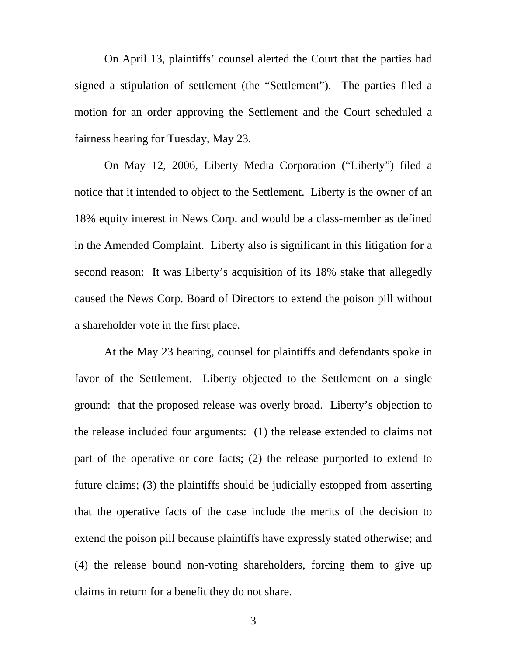On April 13, plaintiffs' counsel alerted the Court that the parties had signed a stipulation of settlement (the "Settlement"). The parties filed a motion for an order approving the Settlement and the Court scheduled a fairness hearing for Tuesday, May 23.

On May 12, 2006, Liberty Media Corporation ("Liberty") filed a notice that it intended to object to the Settlement. Liberty is the owner of an 18% equity interest in News Corp. and would be a class-member as defined in the Amended Complaint. Liberty also is significant in this litigation for a second reason: It was Liberty's acquisition of its 18% stake that allegedly caused the News Corp. Board of Directors to extend the poison pill without a shareholder vote in the first place.

At the May 23 hearing, counsel for plaintiffs and defendants spoke in favor of the Settlement. Liberty objected to the Settlement on a single ground: that the proposed release was overly broad. Liberty's objection to the release included four arguments: (1) the release extended to claims not part of the operative or core facts; (2) the release purported to extend to future claims; (3) the plaintiffs should be judicially estopped from asserting that the operative facts of the case include the merits of the decision to extend the poison pill because plaintiffs have expressly stated otherwise; and (4) the release bound non-voting shareholders, forcing them to give up claims in return for a benefit they do not share.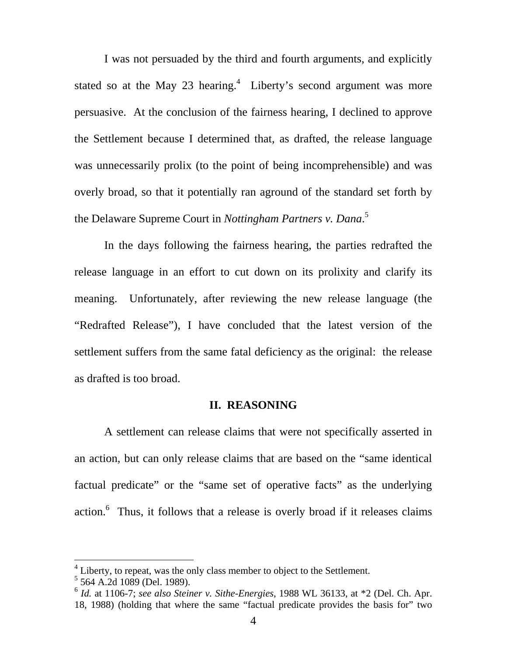<span id="page-4-2"></span>I was not persuaded by the third and fourth arguments, and explicitly stated so at the May 23 hearing. $4$  Liberty's second argument was more persuasive. At the conclusion of the fairness hearing, I declined to approve the Settlement because I determined that, as drafted, the release language was unnecessarily prolix (to the point of being incomprehensible) and was overly broad, so that it potentially ran aground of the standard set forth by the Delaware Supreme Court in *Nottingham Partners v. Dana*. [5](#page-4-1)

In the days following the fairness hearing, the parties redrafted the release language in an effort to cut down on its prolixity and clarify its meaning. Unfortunately, after reviewing the new release language (the "Redrafted Release"), I have concluded that the latest version of the settlement suffers from the same fatal deficiency as the original: the release as drafted is too broad.

## **II. REASONING**

A settlement can release claims that were not specifically asserted in an action, but can only release claims that are based on the "same identical factual predicate" or the "same set of operative facts" as the underlying action.<sup>[6](#page-4-2)</sup> Thus, it follows that a release is overly broad if it releases claims

<span id="page-4-0"></span> $<sup>4</sup>$  Liberty, to repeat, was the only class member to object to the Settlement.</sup>

<span id="page-4-1"></span><sup>5</sup> 564 A.2d 1089 (Del. 1989).

<sup>6</sup> *Id.* at 1106-7; *see also Steiner v. Sithe-Energies*, 1988 WL 36133, at \*2 (Del. Ch. Apr. 18, 1988) (holding that where the same "factual predicate provides the basis for" two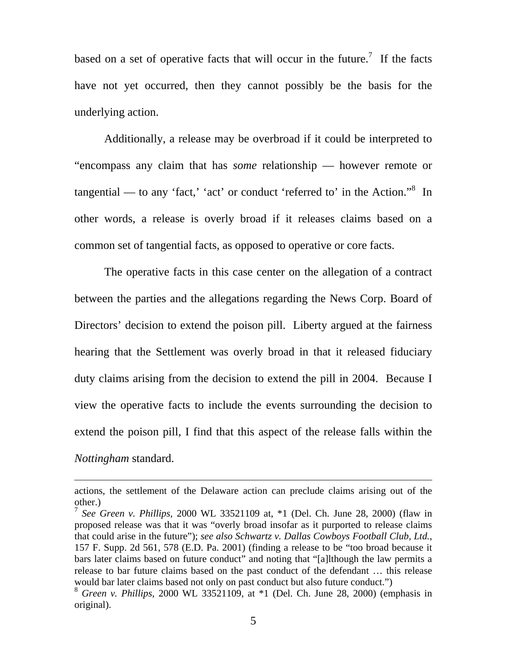based on a set of operative facts that will occur in the future.<sup>[7](#page-5-0)</sup> If the facts have not yet occurred, then they cannot possibly be the basis for the underlying action.

Additionally, a release may be overbroad if it could be interpreted to "encompass any claim that has *some* relationship — however remote or tangential — to any 'fact,' 'act' or conduct 'referred to' in the Action." $8$  In other words, a release is overly broad if it releases claims based on a common set of tangential facts, as opposed to operative or core facts.

The operative facts in this case center on the allegation of a contract between the parties and the allegations regarding the News Corp. Board of Directors' decision to extend the poison pill. Liberty argued at the fairness hearing that the Settlement was overly broad in that it released fiduciary duty claims arising from the decision to extend the pill in 2004. Because I view the operative facts to include the events surrounding the decision to extend the poison pill, I find that this aspect of the release falls within the *Nottingham* standard.

actions, the settlement of the Delaware action can preclude claims arising out of the other.)

<span id="page-5-0"></span><sup>7</sup> *See Green v. Phillips*, 2000 WL 33521109 at, \*1 (Del. Ch. June 28, 2000) (flaw in proposed release was that it was "overly broad insofar as it purported to release claims that could arise in the future"); *see also Schwartz v. Dallas Cowboys Football Club, Ltd.*, 157 F. Supp. 2d 561, 578 (E.D. Pa. 2001) (finding a release to be "too broad because it bars later claims based on future conduct" and noting that "[a]lthough the law permits a release to bar future claims based on the past conduct of the defendant … this release would bar later claims based not only on past conduct but also future conduct.")

<span id="page-5-1"></span><sup>8</sup> *Green v. Phillips*, 2000 WL 33521109, at \*1 (Del. Ch. June 28, 2000) (emphasis in original).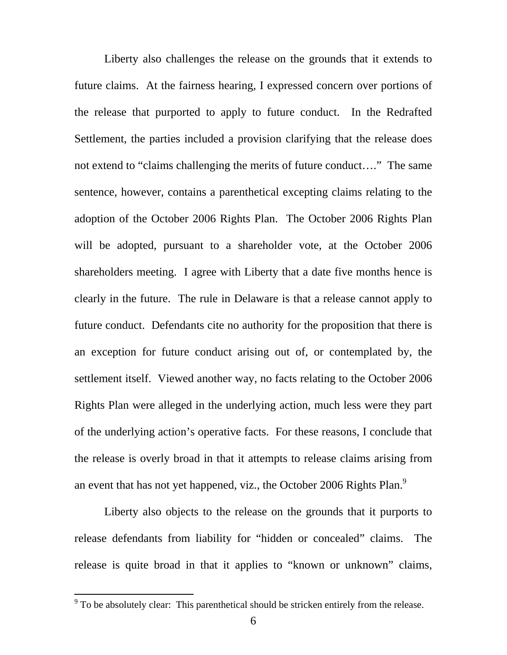Liberty also challenges the release on the grounds that it extends to future claims. At the fairness hearing, I expressed concern over portions of the release that purported to apply to future conduct. In the Redrafted Settlement, the parties included a provision clarifying that the release does not extend to "claims challenging the merits of future conduct…." The same sentence, however, contains a parenthetical excepting claims relating to the adoption of the October 2006 Rights Plan. The October 2006 Rights Plan will be adopted, pursuant to a shareholder vote, at the October 2006 shareholders meeting. I agree with Liberty that a date five months hence is clearly in the future. The rule in Delaware is that a release cannot apply to future conduct. Defendants cite no authority for the proposition that there is an exception for future conduct arising out of, or contemplated by, the settlement itself. Viewed another way, no facts relating to the October 2006 Rights Plan were alleged in the underlying action, much less were they part of the underlying action's operative facts. For these reasons, I conclude that the release is overly broad in that it attempts to release claims arising from an event that has not yet happened, viz., the October 2006 Rights Plan. $^9$  $^9$ 

Liberty also objects to the release on the grounds that it purports to release defendants from liability for "hidden or concealed" claims. The release is quite broad in that it applies to "known or unknown" claims,

<span id="page-6-0"></span><sup>&</sup>lt;sup>9</sup> To be absolutely clear: This parenthetical should be stricken entirely from the release.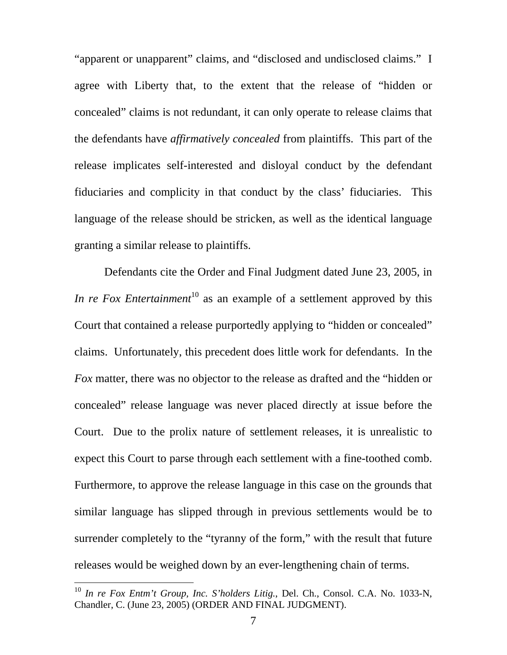"apparent or unapparent" claims, and "disclosed and undisclosed claims." I agree with Liberty that, to the extent that the release of "hidden or concealed" claims is not redundant, it can only operate to release claims that the defendants have *affirmatively concealed* from plaintiffs. This part of the release implicates self-interested and disloyal conduct by the defendant fiduciaries and complicity in that conduct by the class' fiduciaries. This language of the release should be stricken, as well as the identical language granting a similar release to plaintiffs.

Defendants cite the Order and Final Judgment dated June 23, 2005, in *In re Fox Entertainment*<sup>[10](#page-7-0)</sup> as an example of a settlement approved by this Court that contained a release purportedly applying to "hidden or concealed" claims. Unfortunately, this precedent does little work for defendants. In the *Fox* matter, there was no objector to the release as drafted and the "hidden or concealed" release language was never placed directly at issue before the Court. Due to the prolix nature of settlement releases, it is unrealistic to expect this Court to parse through each settlement with a fine-toothed comb. Furthermore, to approve the release language in this case on the grounds that similar language has slipped through in previous settlements would be to surrender completely to the "tyranny of the form," with the result that future releases would be weighed down by an ever-lengthening chain of terms.

<span id="page-7-0"></span><sup>10</sup> *In re Fox Entm't Group, Inc. S'holders Litig.*, Del. Ch., Consol. C.A. No. 1033-N, Chandler, C. (June 23, 2005) (ORDER AND FINAL JUDGMENT).